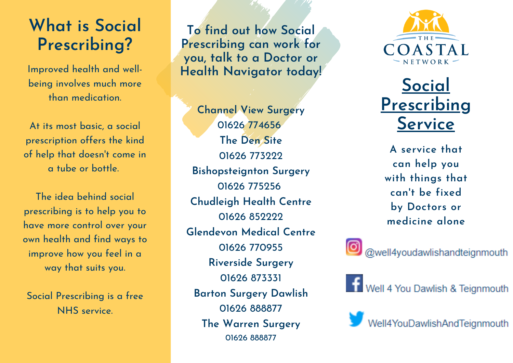# **W h a t is S o cial Prescribing?**

Improved health and well being involves much more than medication.

At its most basic, a social prescription offers the kind of help that doesn't come in a tube or bottle.

The idea behind social prescribing is to help you to have more control over your own health and find ways to improve how you feel in a way that suits you. **Example 15 30CICI**<br> **Example 15 30CICI**<br>
Pred health and well-<br>
involves much more<br>
an medication.<br>
most basic, a social<br>
ption offers the kind<br>
that doesn't come in<br>
tube or bottle.<br>
dea behind social<br>
dea behind social<br>

Social Prescribing is a free

**<u>d d id**</del> **out how Social**</u> **Prescribing can work fo r y**ou, talk to a Doctor or **H e alt h N a vig a t o r t o d a y !**

**C h a n n el V i e w S u r g e r y** 01626 774656 **T h e D e n S i t e** 01626 773222 Bishopsteignton Surgery 01626 775256 Chudleigh Health Centre 01626 852222 **<u>Glendevon Medical Centre</u>** 01626 770955 **Riverside Surgery** 01626 873331 Barton Surgery Dawlish 01626 888877 **T h e W a r r e n S u r g e r y** 01626 888877



**S o cial Prescribin g S e r vic e**

**A** service that **c a n h elp y o u wit h t hin g s t h a t c a n't b e fix e d b**y Doctors or **m e dicin e alo n e**

@well4youdawlishandteignmouth

**TT** Well 4 You Dawlish & Teignmouth

Well4YouDawlishAndTeignmouth